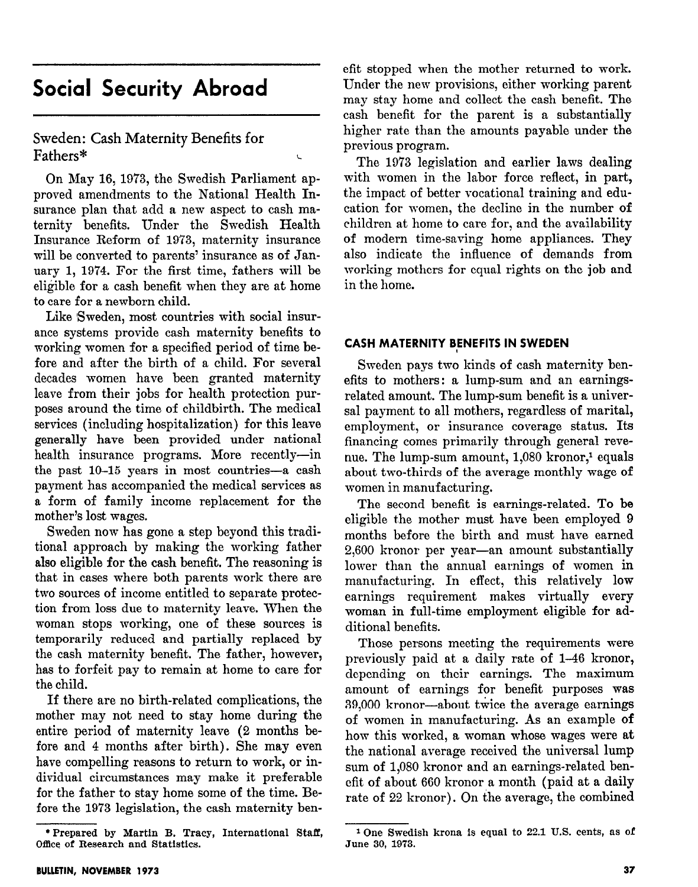# Social Security Abroad

Sweden: Cash Maternity Benefits for Fathers\* L

On May 16, 1973, the Swedish Parliament approved amendments to the National Health Insurance plan that add a new aspect to cash maternity benefits. Under the Swedish Health Insurance Reform of 1973, maternity insurance will be converted to parents' insurance as of January 1, 1974. For the first time, fathers will be eligible for a cash benefit when they are at home to care for a newborn child.

Like Sweden, most countries with social insurance systems provide cash maternity benefits to working women for a specified period of time before and after the birth of a child. For several decades women have been granted maternity leave from their jobs for health protection purposes around the time of childbirth. The medical services (including hospitalization) for this leave generally have been provided under national health insurance programs. More recently-in the past  $10-15$  years in most countries-a cash payment has accompanied the medical services as a form of family income replacement for the mother's lost wages.

Sweden now has gone a step beyond this traditional approach by making the working father also eligible for the cash benefit. The reasoning is that in cases where both parents work there are two sources of income entitled to separate protection from loss due to maternity leave. When the woman stops working, one of these sources is temporarily reduced and partially replaced by the cash maternity benefit. The father, however, has to forfeit pay to remain at home to care for the child.

If there are no birth-related complications, the mother may not need to stay home during the entire period of maternity leave (2 months before and 4 months after birth). She may even have compelling reasons to return to work, or individual circumstances may make it preferable for the father to stay home some of the time. Before the 1973 legislation, the cash maternity benefit stopped when the mother returned to work. Under the new provisions, either working parent may stay home and collect the cash benefit. The cash benefit for the parent is a substantially higher rate than the amounts payable under the previous program.

The 1973 legislation and earlier laws dealing with women in the labor force reflect, in part, the impact of better vocational training and education for women, the decline in the number of children at home to care for, and the availability of modern time-saving home appliances. They also indicate the influence of demands from working mothers for equal rights on the job and in the home.

#### CASH MATERNITY BENEFITS IN SWEDEN

Sweden pays two kinds of cash maternity benefits to mothers: a lump-sum and an earningsrelated amount. The lump-sum benefit is a universal payment to all mothers, regardless of marital, employment, or insurance coverage status. Its financing comes primarily through general revenue. The lump-sum amount, 1,080 kronor,<sup>1</sup> equals about two-thirds of the average monthly wage of women in manufacturing.

The second benefit is earnings-related. To be eligible the mother must have been employed 9 months before the birth and must have earned 2,600 kronor per year-an amount substantially lower than the annual earnings of women in manufacturing. In effect, this relatively low earnings requirement makes virtually every woman in full-time employment eligible for additional benefits.

Those persons meeting the requirements were previously paid at a daily rate of 1-46 kronor, depending on their earnings. The maximum amount of earnings for benefit purposes was  $39,000$  kronor—about twice the average earnings of women in manufacturing. As an example of how this worked, a woman whose wages were at the national average received the universal lump sum of 1,080 kronor and an earnings-related benefit of about 660 kronor a month (paid at a daily rate of 22 kronor). On the average, the combined

<sup>\*</sup>Prepared by Martin B. Tracy, International Staff, Office of Research and Statistics.

<sup>1</sup> One Swedish krona is equal to 22.1 U.S. cents, as of June 30, 1973.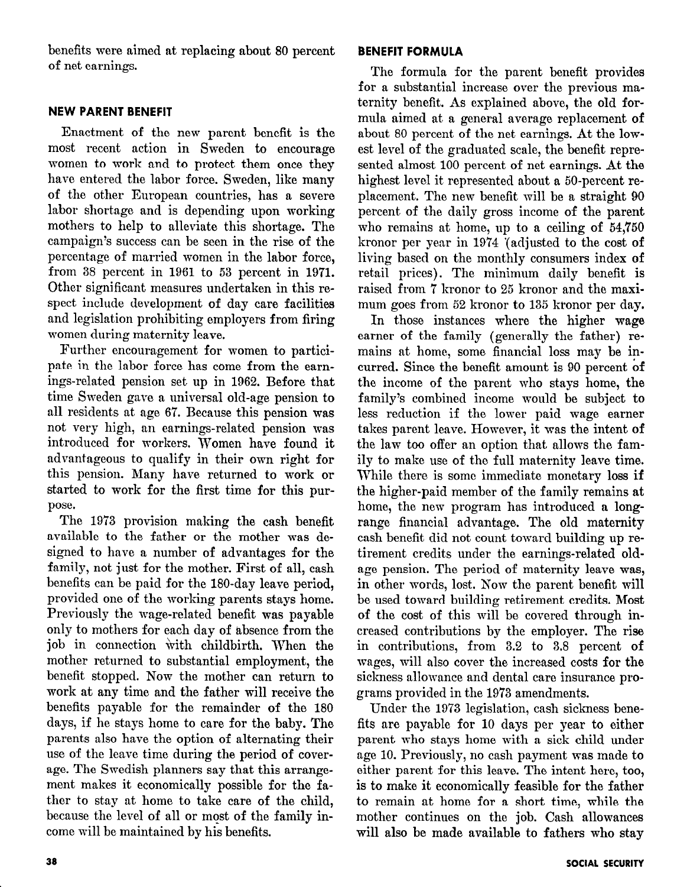benefits were aimed at replacing about 80 percent of net earnings.

## NEW PARENT BENEFIT

Enactment of the new parent benefit is the most recent action in Sweden to encourage women to work and to protect them once they have entered the labor force. Sweden, like many of the other European countries, has a severe labor shortage and is depending upon working mothers to help to alleviate this shortage. The campaign's success can be seen in the rise of the percentage of married women in the labor force, from 38 percent in 1961 to 53 percent in 1971. Other significant measures undertaken in this respect include development of day care facilities and legislation prohibiting employers from firing women during maternity leave.

Further encouragement for women to participate in the labor force has come from the earnings-related pension set up in 1962. Before that time Sweden gave a universal old-age pension to all residents at age 67. Because this pension was not very high, an earnings-related pension was introduced for workers. Women have found it advantageous to qualify in their own right for this pension. Many have returned to work or ens pension. Hany have feurified to work of pou u nao,<br>The 1973 provision making the cash benefit

avec to the father or the maximum case we have the mother was deavailable to the father or the mother was designed to have a number of advantages for the family, not just for the mother. First of all, cash benefits can be paid for the 180-day leave period. provided one of the working parents stays home. Previously the wage-related benefit was payable only to mothers for each day of absence from the job in connection with childbirth. When the mother returned to substantial employment, the benefit stopped. Now the mother can return to work at any time and the father will receive the benefits payable for the remainder of the 180 days, if he stays home to care for the baby. The parents also have the option of alternating their use of the leave time during the period of coverage. The Swedish planners say that this arrangement makes it economically possible for the father to stay at home to take care of the child. because the level of all or most of the family income will be maintained by his benefits.

## BENEFIT FORMULA

The formula for the parent benefit provides for a substantial increase over the previous maternity benefit. As explained above, the old formula aimed at a general average replacement of about 80 percent of the net earnings. At the lowest level of the graduated scale, the benefit represented almost 100 percent of net earnings. At the highest level it represented about a 50-percent replacement. The new benefit mill be a straight 90 percent of the daily gross income of the parent who remains at home, up to a ceiling of 54,750 kronor per year in 19'74 '(adjusted to the cost of living based on the monthly consumers index of retail prices). The minimum daily benefit is raised from 7 kronor to 25 kronor and the maximum goes from 52 kronor to 135 kronor per day.

In those instances where the higher wage earner of the family (generally the father) remains at home, some financial loss may be incurred. Since the benefit amount is 90 percent of the income of the parent who stays home, the family's combined income would be subject to less reduction if the lower paid wage earner takes parent leave. However, it was the intent of the law too offer an option that allows the family to make use of the full maternity leave time. my to make use of the full materinty leave third.  $\mu$  and  $\mu$  is some mimetiate monetary ress in the higher-paid member of the family remains at home, the new program has introduced a longrange financial advantage. The old maternity cash benefit did not count toward building up retirement credits under the earnings-related oldage pension. The period of maternity leave was, in other words, lost. Now the parent benefit will be used toward building retirement credits. Most of the cost of this will be covered through increased contributions by the employer. The rise in contributions, from  $3.2$  to  $3.8$  percent of wages, will also cover the increased costs for the sickness allowance and dental care insurance programs provided in the 1973 amendments.

Under the 1973 legislation, cash sickness benefits are payable for 10 days per year to either parent who stays home with a sick child under age 10. Previously, no cash payment was made to either parent for this leave. The intent here, too, is to make it economically feasible for the father to remain at home for a short time, while the mother continues on the job. Cash allowances will also be made available to fathers who stay